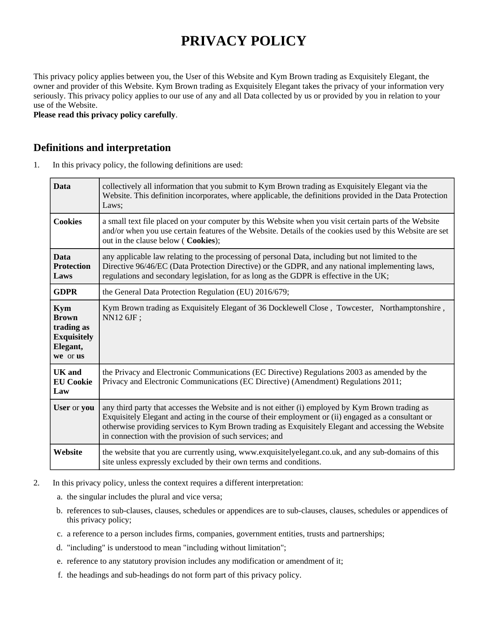# **PRIVACY POLICY**

This privacy policy applies between you, the User of this Website and Kym Brown trading as Exquisitely Elegant, the owner and provider of this Website. Kym Brown trading as Exquisitely Elegant takes the privacy of your information very seriously. This privacy policy applies to our use of any and all Data collected by us or provided by you in relation to your use of the Website.

**Please read this privacy policy carefully**.

#### **Definitions and interpretation**

1. In this privacy policy, the following definitions are used:

| <b>Data</b>                                                                            | collectively all information that you submit to Kym Brown trading as Exquisitely Elegant via the<br>Website. This definition incorporates, where applicable, the definitions provided in the Data Protection<br>Laws;                                                                                                                                                   |  |
|----------------------------------------------------------------------------------------|-------------------------------------------------------------------------------------------------------------------------------------------------------------------------------------------------------------------------------------------------------------------------------------------------------------------------------------------------------------------------|--|
| <b>Cookies</b>                                                                         | a small text file placed on your computer by this Website when you visit certain parts of the Website<br>and/or when you use certain features of the Website. Details of the cookies used by this Website are set<br>out in the clause below ( Cookies);                                                                                                                |  |
| <b>Data</b><br><b>Protection</b><br>Laws                                               | any applicable law relating to the processing of personal Data, including but not limited to the<br>Directive 96/46/EC (Data Protection Directive) or the GDPR, and any national implementing laws,<br>regulations and secondary legislation, for as long as the GDPR is effective in the UK;                                                                           |  |
| <b>GDPR</b>                                                                            | the General Data Protection Regulation (EU) 2016/679;                                                                                                                                                                                                                                                                                                                   |  |
| <b>Kym</b><br><b>Brown</b><br>trading as<br><b>Exquisitely</b><br>Elegant,<br>we or us | Kym Brown trading as Exquisitely Elegant of 36 Docklewell Close, Towcester, Northamptonshire,<br>NN12 6JF;                                                                                                                                                                                                                                                              |  |
| <b>UK</b> and<br><b>EU Cookie</b><br>Law                                               | the Privacy and Electronic Communications (EC Directive) Regulations 2003 as amended by the<br>Privacy and Electronic Communications (EC Directive) (Amendment) Regulations 2011;                                                                                                                                                                                       |  |
| User or you                                                                            | any third party that accesses the Website and is not either (i) employed by Kym Brown trading as<br>Exquisitely Elegant and acting in the course of their employment or (ii) engaged as a consultant or<br>otherwise providing services to Kym Brown trading as Exquisitely Elegant and accessing the Website<br>in connection with the provision of such services; and |  |
| Website                                                                                | the website that you are currently using, www.exquisitelyelegant.co.uk, and any sub-domains of this<br>site unless expressly excluded by their own terms and conditions.                                                                                                                                                                                                |  |

- 2. In this privacy policy, unless the context requires a different interpretation:
	- a. the singular includes the plural and vice versa;
	- b. references to sub-clauses, clauses, schedules or appendices are to sub-clauses, clauses, schedules or appendices of this privacy policy;
	- c. a reference to a person includes firms, companies, government entities, trusts and partnerships;
	- d. "including" is understood to mean "including without limitation";
	- e. reference to any statutory provision includes any modification or amendment of it;
	- f. the headings and sub-headings do not form part of this privacy policy.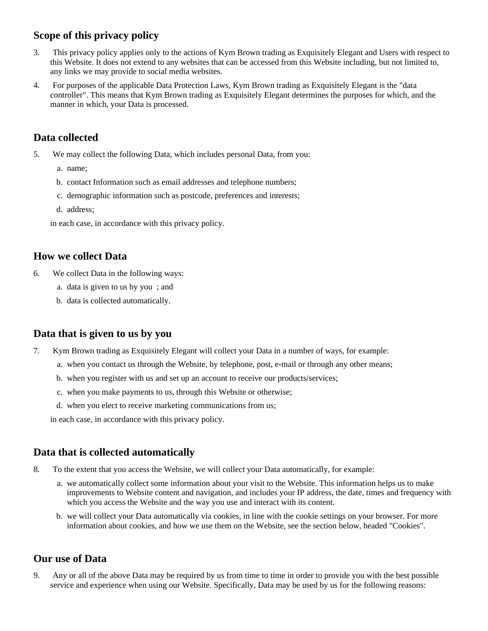# **Scope of this privacy policy**

- 3. This privacy policy applies only to the actions of Kym Brown trading as Exquisitely Elegant and Users with respect to this Website. It does not extend to any websites that can be accessed from this Website including, but not limited to, any links we may provide to social media websites.
- 4. For purposes of the applicable Data Protection Laws, Kym Brown trading as Exquisitely Elegant is the "data controller". This means that Kym Brown trading as Exquisitely Elegant determines the purposes for which, and the manner in which, your Data is processed.

# **Data collected**

- 5. We may collect the following Data, which includes personal Data, from you:
	- a. name;
	- b. contact Information such as email addresses and telephone numbers;
	- c. demographic information such as postcode, preferences and interests;
	- d. address;

in each case, in accordance with this privacy policy.

# **How we collect Data**

- 6. We collect Data in the following ways:
	- a. data is given to us by you ; and
	- b. data is collected automatically.

#### **Data that is given to us by you**

- 7. Kym Brown trading as Exquisitely Elegant will collect your Data in a number of ways, for example:
	- a. when you contact us through the Website, by telephone, post, e-mail or through any other means;
	- b. when you register with us and set up an account to receive our products/services;
	- c. when you make payments to us, through this Website or otherwise;
	- d. when you elect to receive marketing communications from us;

in each case, in accordance with this privacy policy.

### **Data that is collected automatically**

- 8. To the extent that you access the Website, we will collect your Data automatically, for example:
	- a. we automatically collect some information about your visit to the Website. This information helps us to make improvements to Website content and navigation, and includes your IP address, the date, times and frequency with which you access the Website and the way you use and interact with its content.
	- b. we will collect your Data automatically via cookies, in line with the cookie settings on your browser. For more information about cookies, and how we use them on the Website, see the section below, headed "Cookies".

# **Our use of Data**

9. Any or all of the above Data may be required by us from time to time in order to provide you with the best possible service and experience when using our Website. Specifically, Data may be used by us for the following reasons: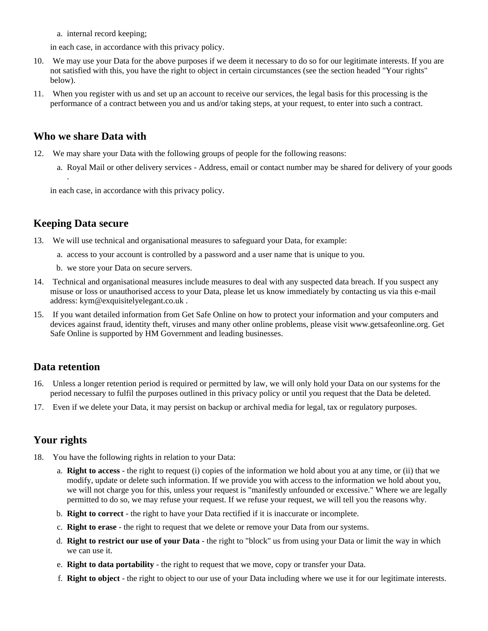a. internal record keeping;

in each case, in accordance with this privacy policy.

- 10. We may use your Data for the above purposes if we deem it necessary to do so for our legitimate interests. If you are not satisfied with this, you have the right to object in certain circumstances (see the section headed "Your rights" below).
- 11. When you register with us and set up an account to receive our services, the legal basis for this processing is the performance of a contract between you and us and/or taking steps, at your request, to enter into such a contract.

#### **Who we share Data with**

- 12. We may share your Data with the following groups of people for the following reasons:
	- a. Royal Mail or other delivery services Address, email or contact number may be shared for delivery of your goods

in each case, in accordance with this privacy policy.

#### **Keeping Data secure**

.

- 13. We will use technical and organisational measures to safeguard your Data, for example:
	- a. access to your account is controlled by a password and a user name that is unique to you.
	- b. we store your Data on secure servers.
- 14. Technical and organisational measures include measures to deal with any suspected data breach. If you suspect any misuse or loss or unauthorised access to your Data, please let us know immediately by contacting us via this e-mail address: kym@exquisitelyelegant.co.uk .
- 15. If you want detailed information from Get Safe Online on how to protect your information and your computers and devices against fraud, identity theft, viruses and many other online problems, please visit www.getsafeonline.org. Get Safe Online is supported by HM Government and leading businesses.

#### **Data retention**

- 16. Unless a longer retention period is required or permitted by law, we will only hold your Data on our systems for the period necessary to fulfil the purposes outlined in this privacy policy or until you request that the Data be deleted.
- 17. Even if we delete your Data, it may persist on backup or archival media for legal, tax or regulatory purposes.

#### **Your rights**

- 18. You have the following rights in relation to your Data:
	- a. **Right to access** the right to request (i) copies of the information we hold about you at any time, or (ii) that we modify, update or delete such information. If we provide you with access to the information we hold about you, we will not charge you for this, unless your request is "manifestly unfounded or excessive." Where we are legally permitted to do so, we may refuse your request. If we refuse your request, we will tell you the reasons why.
	- b. **Right to correct** the right to have your Data rectified if it is inaccurate or incomplete.
	- c. **Right to erase** the right to request that we delete or remove your Data from our systems.
	- d. **Right to restrict our use of your Data** the right to "block" us from using your Data or limit the way in which we can use it.
	- e. **Right to data portability** the right to request that we move, copy or transfer your Data.
	- f. **Right to object** the right to object to our use of your Data including where we use it for our legitimate interests.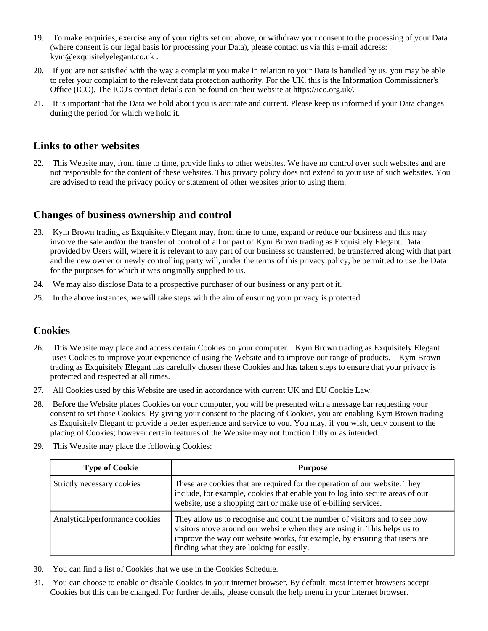- 19. To make enquiries, exercise any of your rights set out above, or withdraw your consent to the processing of your Data (where consent is our legal basis for processing your Data), please contact us via this e-mail address: kym@exquisitelyelegant.co.uk .
- 20. If you are not satisfied with the way a complaint you make in relation to your Data is handled by us, you may be able to refer your complaint to the relevant data protection authority. For the UK, this is the Information Commissioner's Office (ICO). The ICO's contact details can be found on their website at https://ico.org.uk/.
- 21. It is important that the Data we hold about you is accurate and current. Please keep us informed if your Data changes during the period for which we hold it.

# **Links to other websites**

22. This Website may, from time to time, provide links to other websites. We have no control over such websites and are not responsible for the content of these websites. This privacy policy does not extend to your use of such websites. You are advised to read the privacy policy or statement of other websites prior to using them.

### **Changes of business ownership and control**

- 23. Kym Brown trading as Exquisitely Elegant may, from time to time, expand or reduce our business and this may involve the sale and/or the transfer of control of all or part of Kym Brown trading as Exquisitely Elegant. Data provided by Users will, where it is relevant to any part of our business so transferred, be transferred along with that part and the new owner or newly controlling party will, under the terms of this privacy policy, be permitted to use the Data for the purposes for which it was originally supplied to us.
- 24. We may also disclose Data to a prospective purchaser of our business or any part of it.
- 25. In the above instances, we will take steps with the aim of ensuring your privacy is protected.

#### **Cookies**

- 26. This Website may place and access certain Cookies on your computer. Kym Brown trading as Exquisitely Elegant uses Cookies to improve your experience of using the Website and to improve our range of products. Kym Brown trading as Exquisitely Elegant has carefully chosen these Cookies and has taken steps to ensure that your privacy is protected and respected at all times.
- 27. All Cookies used by this Website are used in accordance with current UK and EU Cookie Law.
- 28. Before the Website places Cookies on your computer, you will be presented with a message bar requesting your consent to set those Cookies. By giving your consent to the placing of Cookies, you are enabling Kym Brown trading as Exquisitely Elegant to provide a better experience and service to you. You may, if you wish, deny consent to the placing of Cookies; however certain features of the Website may not function fully or as intended.
- 29. This Website may place the following Cookies:

| <b>Type of Cookie</b>          | <b>Purpose</b>                                                                                                                                                                                                                                                                     |
|--------------------------------|------------------------------------------------------------------------------------------------------------------------------------------------------------------------------------------------------------------------------------------------------------------------------------|
| Strictly necessary cookies     | These are cookies that are required for the operation of our website. They<br>include, for example, cookies that enable you to log into secure areas of our<br>website, use a shopping cart or make use of e-billing services.                                                     |
| Analytical/performance cookies | They allow us to recognise and count the number of visitors and to see how<br>visitors move around our website when they are using it. This helps us to<br>improve the way our website works, for example, by ensuring that users are<br>finding what they are looking for easily. |

- 30. You can find a list of Cookies that we use in the Cookies Schedule.
- 31. You can choose to enable or disable Cookies in your internet browser. By default, most internet browsers accept Cookies but this can be changed. For further details, please consult the help menu in your internet browser.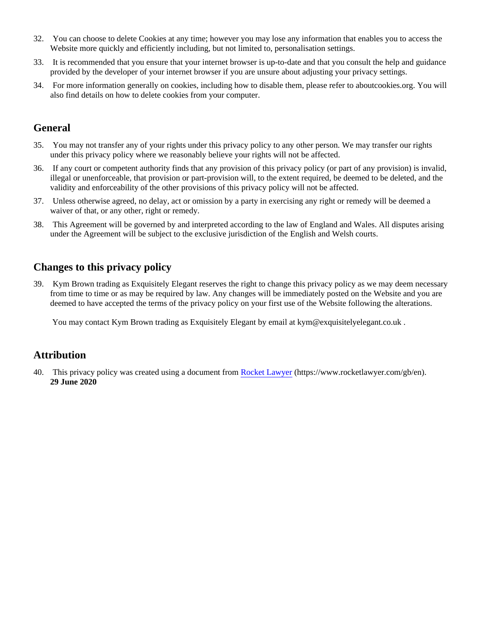- 32. You can choose to delete Cookies at any time; however you may lose any information that enables you to access the Website more quickly and efficiently including, but not limited to, personalisation settings.
- 33. It is recommended that you ensure that your internet browser is up-to-date and that you consult the help and guidance provided by the developer of your internet browser if you are unsure about adjusting your privacy settings.
- 34. For more information generally on cookies, including how to disable them, please refer to aboutcookies.org. You will also find details on how to delete cookies from your computer.

# **General**

- 35. You may not transfer any of your rights under this privacy policy to any other person. We may transfer our rights under this privacy policy where we reasonably believe your rights will not be affected.
- 36. If any court or competent authority finds that any provision of this privacy policy (or part of any provision) is invalid, illegal or unenforceable, that provision or part-provision will, to the extent required, be deemed to be deleted, and the validity and enforceability of the other provisions of this privacy policy will not be affected.
- 37. Unless otherwise agreed, no delay, act or omission by a party in exercising any right or remedy will be deemed a waiver of that, or any other, right or remedy.
- 38. This Agreement will be governed by and interpreted according to the law of England and Wales. All disputes arising under the Agreement will be subject to the exclusive jurisdiction of the English and Welsh courts.

# **Changes to this privacy policy**

39. Kym Brown trading as Exquisitely Elegant reserves the right to change this privacy policy as we may deem necessary from time to time or as may be required by law. Any changes will be immediately posted on the Website and you are deemed to have accepted the terms of the privacy policy on your first use of the Website following the alterations.

You may contact Kym Brown trading as Exquisitely Elegant by email at  $kym@exquistelyelegant.co.uk$ .

# **Attribution**

40. This privacy policy was created using a document from [Rocket Lawyer](https://www.rocketlawyer.com/gb/en/) (https://www.rocketlawyer.com/gb/en). **29 June 2020**